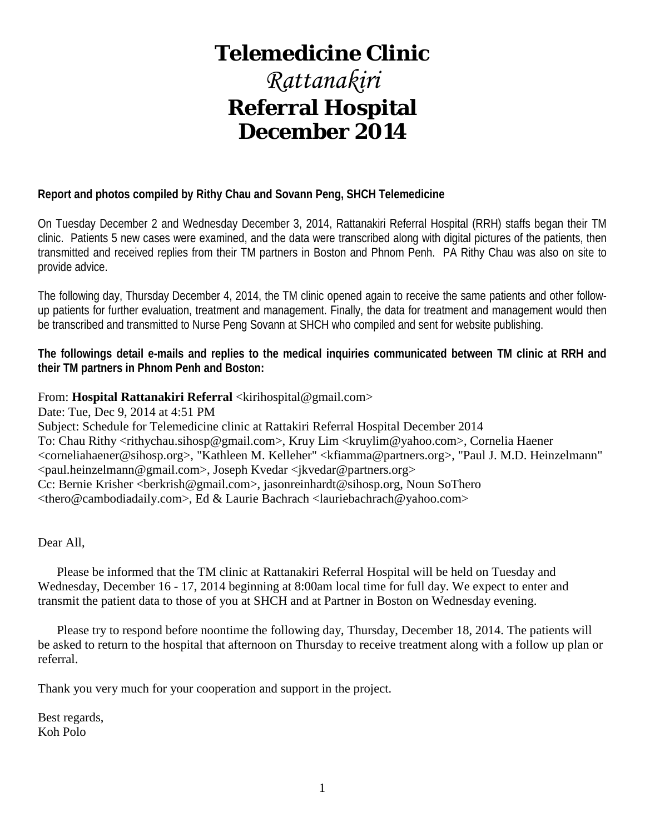# **Telemedicine Clinic**

# *Rattanakiri* **Referral Hospital December 2014**

#### **Report and photos compiled by Rithy Chau and Sovann Peng, SHCH Telemedicine**

On Tuesday December 2 and Wednesday December 3, 2014, Rattanakiri Referral Hospital (RRH) staffs began their TM clinic. Patients 5 new cases were examined, and the data were transcribed along with digital pictures of the patients, then transmitted and received replies from their TM partners in Boston and Phnom Penh. PA Rithy Chau was also on site to provide advice.

The following day, Thursday December 4, 2014, the TM clinic opened again to receive the same patients and other followup patients for further evaluation, treatment and management. Finally, the data for treatment and management would then be transcribed and transmitted to Nurse Peng Sovann at SHCH who compiled and sent for website publishing.

**The followings detail e-mails and replies to the medical inquiries communicated between TM clinic at RRH and their TM partners in Phnom Penh and Boston:**

#### From: Hospital Rattanakiri Referral <kirihospital@gmail.com>

Date: Tue, Dec 9, 2014 at 4:51 PM Subject: Schedule for Telemedicine clinic at Rattakiri Referral Hospital December 2014 To: Chau Rithy <rithychau.sihosp@gmail.com>, Kruy Lim <kruylim@yahoo.com>, Cornelia Haener <corneliahaener@sihosp.org>, "Kathleen M. Kelleher" <kfiamma@partners.org>, "Paul J. M.D. Heinzelmann" <paul.heinzelmann@gmail.com>, Joseph Kvedar <jkvedar@partners.org> Cc: Bernie Krisher <br/>cherkrish@gmail.com>, jasonreinhardt@sihosp.org, Noun So<br/>Thero <thero@cambodiadaily.com>, Ed & Laurie Bachrach <lauriebachrach@yahoo.com>

Dear All,

 Please be informed that the TM clinic at Rattanakiri Referral Hospital will be held on Tuesday and Wednesday, December 16 - 17, 2014 beginning at 8:00am local time for full day. We expect to enter and transmit the patient data to those of you at SHCH and at Partner in Boston on Wednesday evening.

 Please try to respond before noontime the following day, Thursday, December 18, 2014. The patients will be asked to return to the hospital that afternoon on Thursday to receive treatment along with a follow up plan or referral.

Thank you very much for your cooperation and support in the project.

Best regards, Koh Polo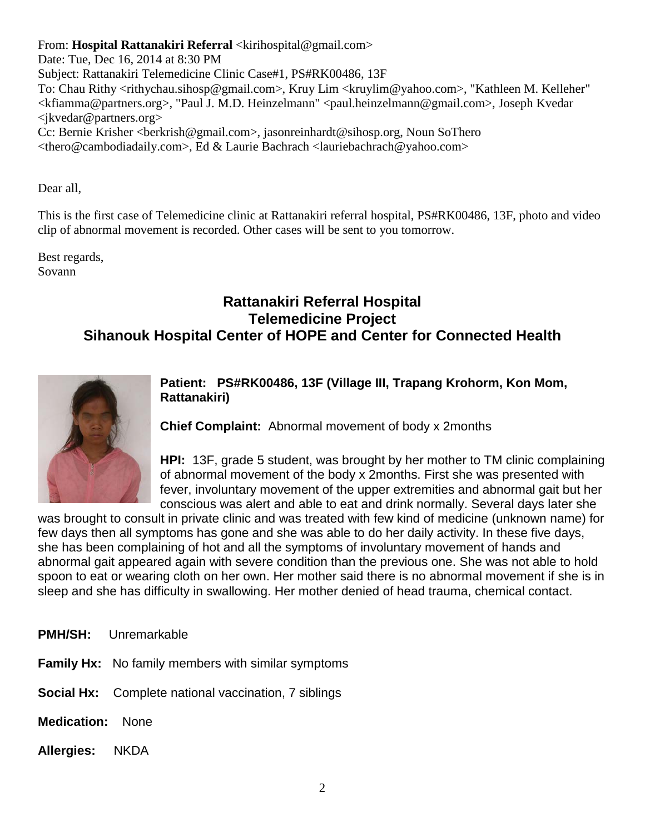From: **Hospital Rattanakiri Referral** <kirihospital@gmail.com>

Date: Tue, Dec 16, 2014 at 8:30 PM Subject: Rattanakiri Telemedicine Clinic Case#1, PS#RK00486, 13F To: Chau Rithy <rithychau.sihosp@gmail.com>, Kruy Lim <kruylim@yahoo.com>, "Kathleen M. Kelleher" <kfiamma@partners.org>, "Paul J. M.D. Heinzelmann" <paul.heinzelmann@gmail.com>, Joseph Kvedar <jkvedar@partners.org> Cc: Bernie Krisher <berkrish@gmail.com>, jasonreinhardt@sihosp.org, Noun SoThero <thero@cambodiadaily.com>, Ed & Laurie Bachrach <lauriebachrach@yahoo.com>

Dear all,

This is the first case of Telemedicine clinic at Rattanakiri referral hospital, PS#RK00486, 13F, photo and video clip of abnormal movement is recorded. Other cases will be sent to you tomorrow.

Best regards, Sovann

### **Rattanakiri Referral Hospital Telemedicine Project Sihanouk Hospital Center of HOPE and Center for Connected Health**



**Patient: PS#RK00486, 13F (Village III, Trapang Krohorm, Kon Mom, Rattanakiri)**

**Chief Complaint:** Abnormal movement of body x 2months

**HPI:** 13F, grade 5 student, was brought by her mother to TM clinic complaining of abnormal movement of the body x 2months. First she was presented with fever, involuntary movement of the upper extremities and abnormal gait but her conscious was alert and able to eat and drink normally. Several days later she

was brought to consult in private clinic and was treated with few kind of medicine (unknown name) for few days then all symptoms has gone and she was able to do her daily activity. In these five days, she has been complaining of hot and all the symptoms of involuntary movement of hands and abnormal gait appeared again with severe condition than the previous one. She was not able to hold spoon to eat or wearing cloth on her own. Her mother said there is no abnormal movement if she is in sleep and she has difficulty in swallowing. Her mother denied of head trauma, chemical contact.

**PMH/SH:** Unremarkable

**Family Hx:** No family members with similar symptoms

**Social Hx:** Complete national vaccination, 7 siblings

**Medication:** None

**Allergies:** NKDA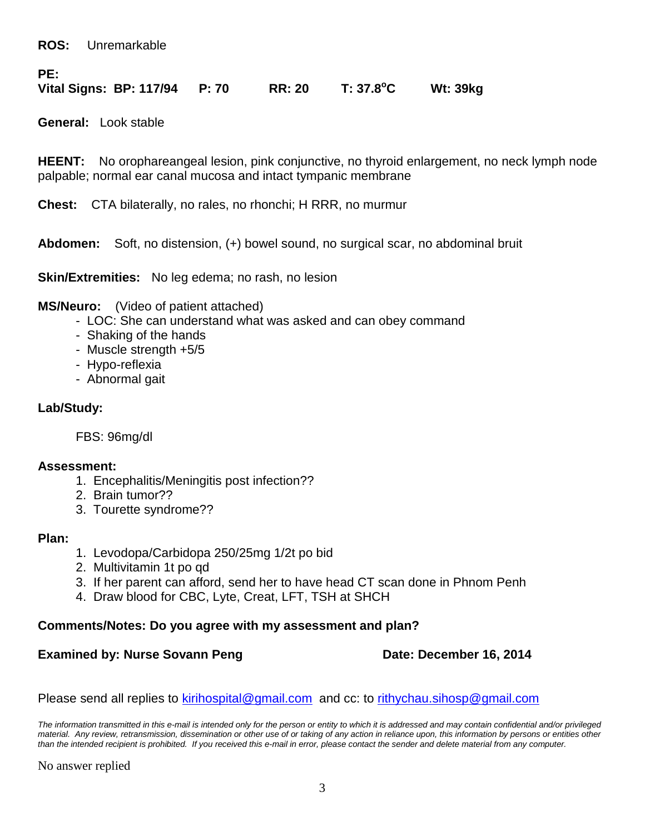**ROS:** Unremarkable

**PE:**

**Vital Signs: BP: 117/94 P: 70 RR: 20 T: 37.8<sup>o</sup> C Wt: 39kg** 

**General:** Look stable

**HEENT:** No orophareangeal lesion, pink conjunctive, no thyroid enlargement, no neck lymph node palpable; normal ear canal mucosa and intact tympanic membrane

**Chest:** CTA bilaterally, no rales, no rhonchi; H RRR, no murmur

**Abdomen:** Soft, no distension, (+) bowel sound, no surgical scar, no abdominal bruit

**Skin/Extremities:** No leg edema; no rash, no lesion

**MS/Neuro:** (Video of patient attached)

- LOC: She can understand what was asked and can obey command
- Shaking of the hands
- Muscle strength +5/5
- Hypo-reflexia
- Abnormal gait

#### **Lab/Study:**

FBS: 96mg/dl

#### **Assessment:**

- 1. Encephalitis/Meningitis post infection??
- 2. Brain tumor??
- 3. Tourette syndrome??

#### **Plan:**

- 1. Levodopa/Carbidopa 250/25mg 1/2t po bid
- 2. Multivitamin 1t po qd
- 3. If her parent can afford, send her to have head CT scan done in Phnom Penh
- 4. Draw blood for CBC, Lyte, Creat, LFT, TSH at SHCH

#### **Comments/Notes: Do you agree with my assessment and plan?**

#### **Examined by: Nurse Sovann Peng Date: December 16, 2014**

Please send all replies to [kirihospital@gmail.com](mailto:kirihospital@gmail.com) and cc: to [rithychau.sihosp@gmail.com](mailto:rithychau.sihosp@gmail.com)

*The information transmitted in this e-mail is intended only for the person or entity to which it is addressed and may contain confidential and/or privileged*  material. Any review, retransmission, dissemination or other use of or taking of any action in reliance upon, this information by persons or entities other *than the intended recipient is prohibited. If you received this e-mail in error, please contact the sender and delete material from any computer.*

No answer replied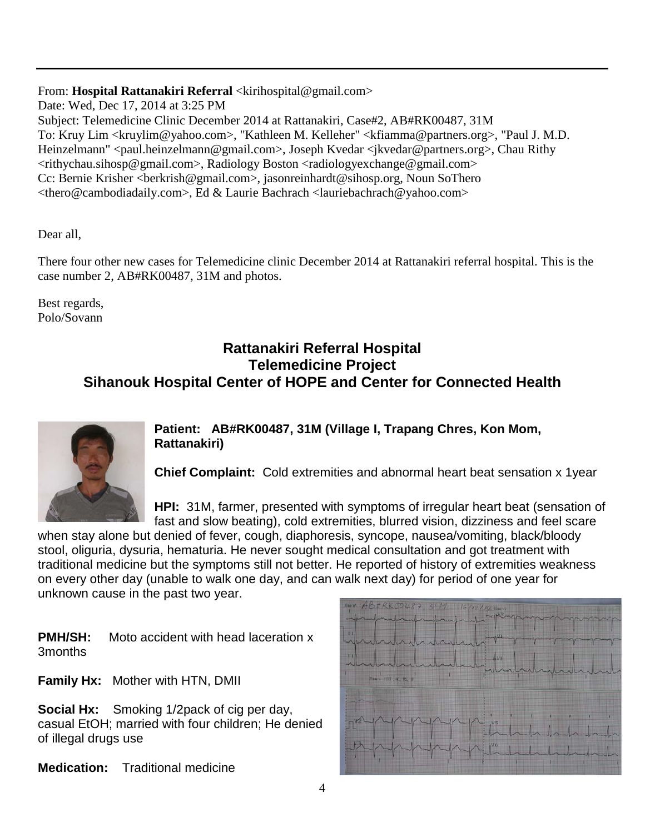#### From: Hospital Rattanakiri Referral <kirihospital@gmail.com>

Date: Wed, Dec 17, 2014 at 3:25 PM

Subject: Telemedicine Clinic December 2014 at Rattanakiri, Case#2, AB#RK00487, 31M To: Kruy Lim <kruylim@yahoo.com>, "Kathleen M. Kelleher" <kfiamma@partners.org>, "Paul J. M.D. Heinzelmann" <paul.heinzelmann@gmail.com>, Joseph Kvedar <jkvedar@partners.org>, Chau Rithy <rithychau.sihosp@gmail.com>, Radiology Boston <radiologyexchange@gmail.com> Cc: Bernie Krisher <berkrish@gmail.com>, jasonreinhardt@sihosp.org, Noun SoThero <thero@cambodiadaily.com>, Ed & Laurie Bachrach <lauriebachrach@yahoo.com>

Dear all,

There four other new cases for Telemedicine clinic December 2014 at Rattanakiri referral hospital. This is the case number 2, AB#RK00487, 31M and photos.

Best regards, Polo/Sovann

#### **Rattanakiri Referral Hospital Telemedicine Project Sihanouk Hospital Center of HOPE and Center for Connected Health**



**Patient: AB#RK00487, 31M (Village I, Trapang Chres, Kon Mom, Rattanakiri)**

**Chief Complaint:** Cold extremities and abnormal heart beat sensation x 1year

**HPI:** 31M, farmer, presented with symptoms of irregular heart beat (sensation of fast and slow beating), cold extremities, blurred vision, dizziness and feel scare

when stay alone but denied of fever, cough, diaphoresis, syncope, nausea/vomiting, black/bloody stool, oliguria, dysuria, hematuria. He never sought medical consultation and got treatment with traditional medicine but the symptoms still not better. He reported of history of extremities weakness on every other day (unable to walk one day, and can walk next day) for period of one year for unknown cause in the past two year.

**PMH/SH:** Moto accident with head laceration x 3months

**Family Hx:** Mother with HTN, DMII

**Social Hx:** Smoking 1/2pack of cig per day, casual EtOH; married with four children; He denied of illegal drugs use

**Medication:** Traditional medicine

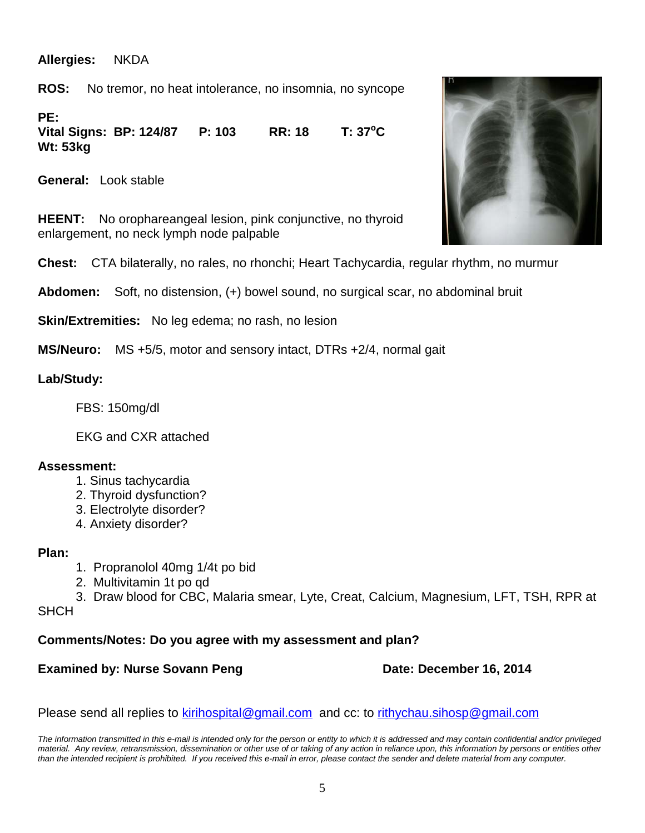**Allergies:** NKDA

**ROS:** No tremor, no heat intolerance, no insomnia, no syncope

**PE:**

**Vital Signs: BP: 124/87 P: 103 RR: 18**  $T: 37^{\circ}C$ **Wt: 53kg** 

**General:** Look stable

**HEENT:** No orophareangeal lesion, pink conjunctive, no thyroid enlargement, no neck lymph node palpable

**Chest:** CTA bilaterally, no rales, no rhonchi; Heart Tachycardia, regular rhythm, no murmur

**Abdomen:** Soft, no distension, (+) bowel sound, no surgical scar, no abdominal bruit

**Skin/Extremities:** No leg edema; no rash, no lesion

**MS/Neuro:** MS +5/5, motor and sensory intact, DTRs +2/4, normal gait

#### **Lab/Study:**

FBS: 150mg/dl

EKG and CXR attached

#### **Assessment:**

- 1. Sinus tachycardia
- 2. Thyroid dysfunction?
- 3. Electrolyte disorder?
- 4. Anxiety disorder?

#### **Plan:**

- 1. Propranolol 40mg 1/4t po bid
- 2. Multivitamin 1t po qd
- 3. Draw blood for CBC, Malaria smear, Lyte, Creat, Calcium, Magnesium, LFT, TSH, RPR at **SHCH**

#### **Comments/Notes: Do you agree with my assessment and plan?**

#### **Examined by: Nurse Sovann Peng Date: December 16, 2014**

Please send all replies to [kirihospital@gmail.com](mailto:kirihospital@gmail.com) and cc: to [rithychau.sihosp@gmail.com](mailto:rithychau.sihosp@gmail.com)

*The information transmitted in this e-mail is intended only for the person or entity to which it is addressed and may contain confidential and/or privileged material. Any review, retransmission, dissemination or other use of or taking of any action in reliance upon, this information by persons or entities other than the intended recipient is prohibited. If you received this e-mail in error, please contact the sender and delete material from any computer.*

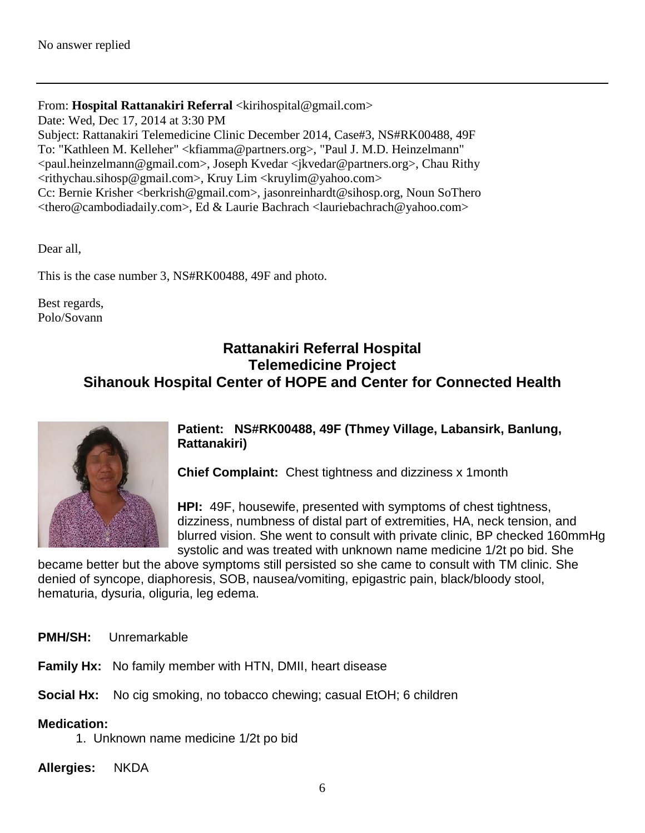#### From: **Hospital Rattanakiri Referral** <kirihospital@gmail.com>

Date: Wed, Dec 17, 2014 at 3:30 PM

Subject: Rattanakiri Telemedicine Clinic December 2014, Case#3, NS#RK00488, 49F To: "Kathleen M. Kelleher" <kfiamma@partners.org>, "Paul J. M.D. Heinzelmann" <paul.heinzelmann@gmail.com>, Joseph Kvedar <jkvedar@partners.org>, Chau Rithy <rithychau.sihosp@gmail.com>, Kruy Lim <kruylim@yahoo.com> Cc: Bernie Krisher <berkrish@gmail.com>, jasonreinhardt@sihosp.org, Noun SoThero <thero@cambodiadaily.com>, Ed & Laurie Bachrach <lauriebachrach@yahoo.com>

Dear all,

This is the case number 3, NS#RK00488, 49F and photo.

Best regards, Polo/Sovann

### **Rattanakiri Referral Hospital Telemedicine Project Sihanouk Hospital Center of HOPE and Center for Connected Health**



**Patient: NS#RK00488, 49F (Thmey Village, Labansirk, Banlung, Rattanakiri)**

**Chief Complaint:** Chest tightness and dizziness x 1month

**HPI:** 49F, housewife, presented with symptoms of chest tightness, dizziness, numbness of distal part of extremities, HA, neck tension, and blurred vision. She went to consult with private clinic, BP checked 160mmHg systolic and was treated with unknown name medicine 1/2t po bid. She

became better but the above symptoms still persisted so she came to consult with TM clinic. She denied of syncope, diaphoresis, SOB, nausea/vomiting, epigastric pain, black/bloody stool, hematuria, dysuria, oliguria, leg edema.

**PMH/SH:** Unremarkable

**Family Hx:** No family member with HTN, DMII, heart disease

**Social Hx:** No cig smoking, no tobacco chewing; casual EtOH; 6 children

**Medication:** 

1. Unknown name medicine 1/2t po bid

**Allergies:** NKDA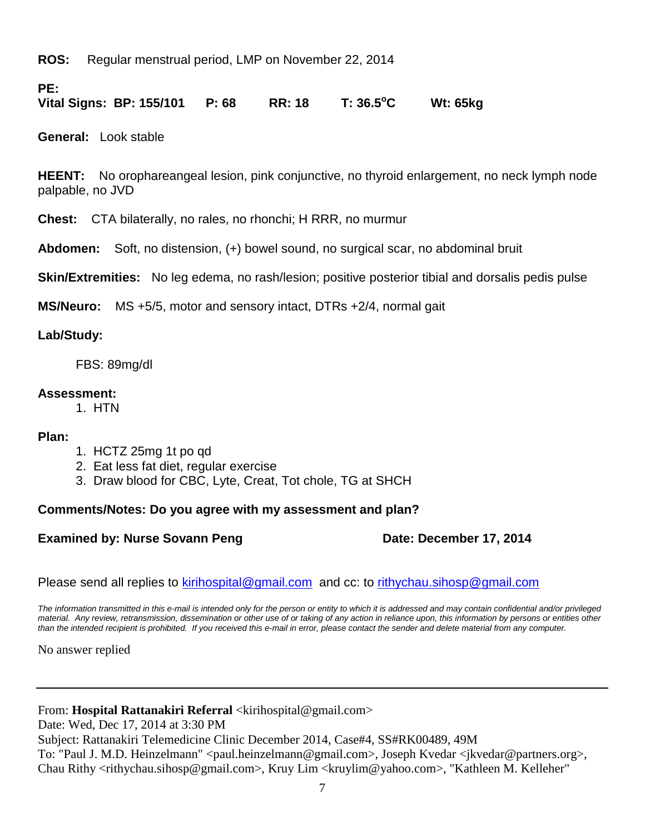**ROS:** Regular menstrual period, LMP on November 22, 2014

**PE:**

**Vital Signs: BP: 155/101 P: 68 RR: 18 T: 36.5<sup>o</sup> C Wt: 65kg** 

**General:** Look stable

**HEENT:** No orophareangeal lesion, pink conjunctive, no thyroid enlargement, no neck lymph node palpable, no JVD

**Chest:** CTA bilaterally, no rales, no rhonchi; H RRR, no murmur

**Abdomen:** Soft, no distension, (+) bowel sound, no surgical scar, no abdominal bruit

**Skin/Extremities:** No leg edema, no rash/lesion; positive posterior tibial and dorsalis pedis pulse

**MS/Neuro:** MS +5/5, motor and sensory intact, DTRs +2/4, normal gait

#### **Lab/Study:**

FBS: 89mg/dl

#### **Assessment:**

1. HTN

#### **Plan:**

- 1. HCTZ 25mg 1t po qd
- 2. Eat less fat diet, regular exercise
- 3. Draw blood for CBC, Lyte, Creat, Tot chole, TG at SHCH

#### **Comments/Notes: Do you agree with my assessment and plan?**

#### **Examined by: Nurse Sovann Peng Date: December 17, 2014**

Please send all replies to [kirihospital@gmail.com](mailto:kirihospital@gmail.com) and cc: to [rithychau.sihosp@gmail.com](mailto:rithychau.sihosp@gmail.com)

*The information transmitted in this e-mail is intended only for the person or entity to which it is addressed and may contain confidential and/or privileged material. Any review, retransmission, dissemination or other use of or taking of any action in reliance upon, this information by persons or entities other than the intended recipient is prohibited. If you received this e-mail in error, please contact the sender and delete material from any computer.*

No answer replied

#### From: Hospital Rattanakiri Referral <kirihospital@gmail.com>

Date: Wed, Dec 17, 2014 at 3:30 PM

Subject: Rattanakiri Telemedicine Clinic December 2014, Case#4, SS#RK00489, 49M

To: "Paul J. M.D. Heinzelmann" <paul.heinzelmann@gmail.com>, Joseph Kvedar <jkvedar@partners.org>, Chau Rithy <rithychau.sihosp@gmail.com>, Kruy Lim <kruylim@yahoo.com>, "Kathleen M. Kelleher"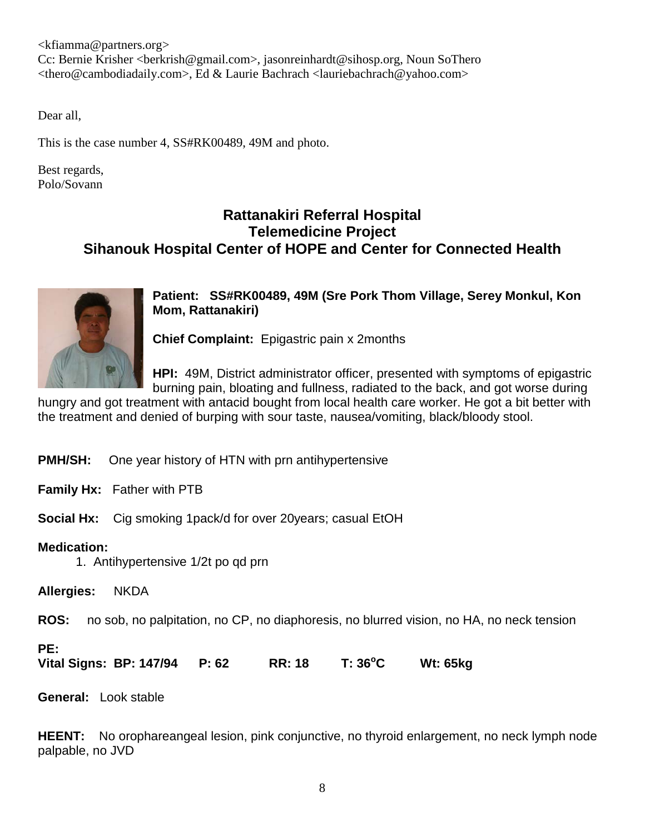$\langle$ kfiamma@partners.org> Cc: Bernie Krisher <berkrish@gmail.com>, jasonreinhardt@sihosp.org, Noun SoThero <thero@cambodiadaily.com>, Ed & Laurie Bachrach <lauriebachrach@yahoo.com>

Dear all,

This is the case number 4, SS#RK00489, 49M and photo.

Best regards, Polo/Sovann

#### **Rattanakiri Referral Hospital Telemedicine Project Sihanouk Hospital Center of HOPE and Center for Connected Health**



**Patient: SS#RK00489, 49M (Sre Pork Thom Village, Serey Monkul, Kon Mom, Rattanakiri)**

**Chief Complaint:** Epigastric pain x 2months

**HPI:** 49M, District administrator officer, presented with symptoms of epigastric burning pain, bloating and fullness, radiated to the back, and got worse during

hungry and got treatment with antacid bought from local health care worker. He got a bit better with the treatment and denied of burping with sour taste, nausea/vomiting, black/bloody stool.

**PMH/SH:** One year history of HTN with prn antihypertensive

**Family Hx:** Father with PTB

**Social Hx:** Cig smoking 1pack/d for over 20years; casual EtOH

#### **Medication:**

1. Antihypertensive 1/2t po qd prn

**Allergies:** NKDA

**ROS:** no sob, no palpitation, no CP, no diaphoresis, no blurred vision, no HA, no neck tension

#### **PE:**

**Vital Signs: BP: 147/94 P: 62 RR: 18 T: 36<sup>o</sup> C Wt: 65kg** 

**General:** Look stable

**HEENT:** No orophareangeal lesion, pink conjunctive, no thyroid enlargement, no neck lymph node palpable, no JVD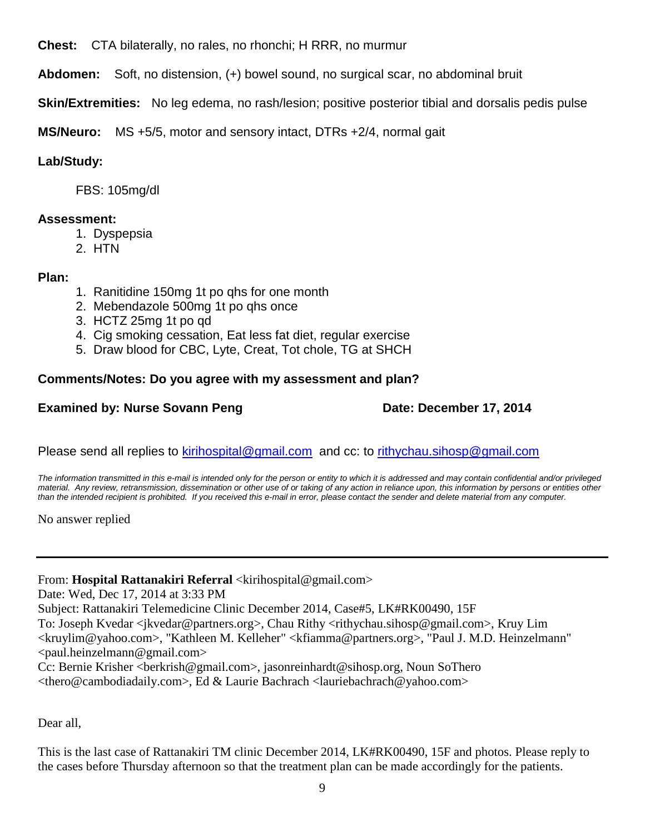**Chest:** CTA bilaterally, no rales, no rhonchi; H RRR, no murmur

**Abdomen:** Soft, no distension, (+) bowel sound, no surgical scar, no abdominal bruit

**Skin/Extremities:** No leg edema, no rash/lesion; positive posterior tibial and dorsalis pedis pulse

**MS/Neuro:** MS +5/5, motor and sensory intact, DTRs +2/4, normal gait

#### **Lab/Study:**

FBS: 105mg/dl

#### **Assessment:**

- 1. Dyspepsia
- 2. HTN

#### **Plan:**

- 1. Ranitidine 150mg 1t po qhs for one month
- 2. Mebendazole 500mg 1t po qhs once
- 3. HCTZ 25mg 1t po qd
- 4. Cig smoking cessation, Eat less fat diet, regular exercise
- 5. Draw blood for CBC, Lyte, Creat, Tot chole, TG at SHCH

#### **Comments/Notes: Do you agree with my assessment and plan?**

#### **Examined by: Nurse Sovann Peng Date: December 17, 2014**

Please send all replies to [kirihospital@gmail.com](mailto:kirihospital@gmail.com) and cc: to [rithychau.sihosp@gmail.com](mailto:rithychau.sihosp@gmail.com)

*The information transmitted in this e-mail is intended only for the person or entity to which it is addressed and may contain confidential and/or privileged material. Any review, retransmission, dissemination or other use of or taking of any action in reliance upon, this information by persons or entities other than the intended recipient is prohibited. If you received this e-mail in error, please contact the sender and delete material from any computer.*

No answer replied

#### From: **Hospital Rattanakiri Referral** <kirihospital@gmail.com>

Date: Wed, Dec 17, 2014 at 3:33 PM

Subject: Rattanakiri Telemedicine Clinic December 2014, Case#5, LK#RK00490, 15F

To: Joseph Kvedar <jkvedar@partners.org>, Chau Rithy <rithychau.sihosp@gmail.com>, Kruy Lim <kruylim@yahoo.com>, "Kathleen M. Kelleher" <kfiamma@partners.org>, "Paul J. M.D. Heinzelmann" <paul.heinzelmann@gmail.com>

Cc: Bernie Krisher <br/>cherkrish@gmail.com>, jasonreinhardt@sihosp.org, Noun So<br/>Thero <thero@cambodiadaily.com>, Ed & Laurie Bachrach <lauriebachrach@yahoo.com>

Dear all,

This is the last case of Rattanakiri TM clinic December 2014, LK#RK00490, 15F and photos. Please reply to the cases before Thursday afternoon so that the treatment plan can be made accordingly for the patients.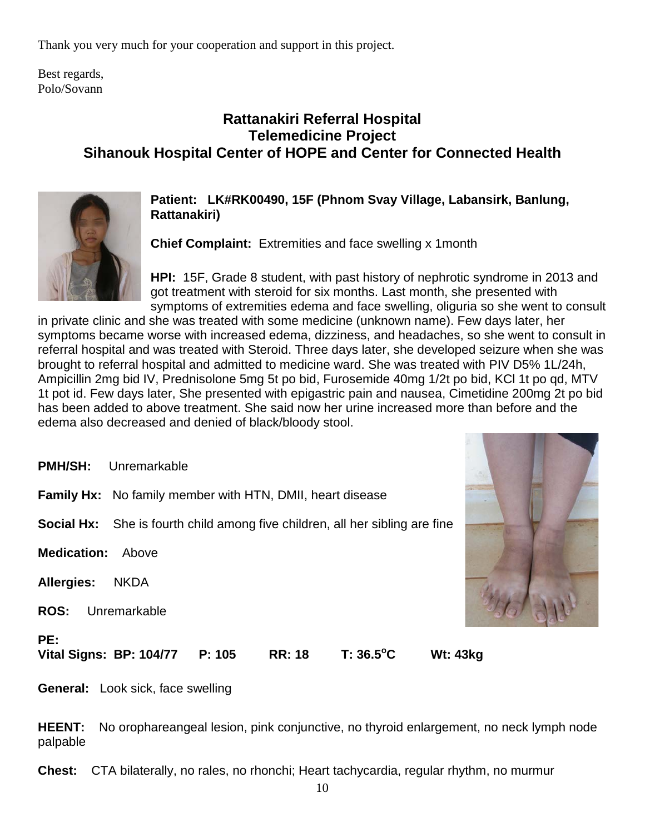Thank you very much for your cooperation and support in this project.

Best regards, Polo/Sovann

## **Rattanakiri Referral Hospital Telemedicine Project Sihanouk Hospital Center of HOPE and Center for Connected Health**



**Patient: LK#RK00490, 15F (Phnom Svay Village, Labansirk, Banlung, Rattanakiri)**

**Chief Complaint:** Extremities and face swelling x 1month

**HPI:** 15F, Grade 8 student, with past history of nephrotic syndrome in 2013 and got treatment with steroid for six months. Last month, she presented with symptoms of extremities edema and face swelling, oliguria so she went to consult

in private clinic and she was treated with some medicine (unknown name). Few days later, her symptoms became worse with increased edema, dizziness, and headaches, so she went to consult in referral hospital and was treated with Steroid. Three days later, she developed seizure when she was brought to referral hospital and admitted to medicine ward. She was treated with PIV D5% 1L/24h, Ampicillin 2mg bid IV, Prednisolone 5mg 5t po bid, Furosemide 40mg 1/2t po bid, KCl 1t po qd, MTV 1t pot id. Few days later, She presented with epigastric pain and nausea, Cimetidine 200mg 2t po bid has been added to above treatment. She said now her urine increased more than before and the edema also decreased and denied of black/bloody stool.

**PMH/SH:** Unremarkable

**Family Hx:** No family member with HTN, DMII, heart disease

**Social Hx:** She is fourth child among five children, all her sibling are fine

**Medication:** Above

**Allergies:** NKDA

**ROS:** Unremarkable

**PE:**

**Vital Signs: BP: 104/77 P: 105 RR: 18 T: 36.5<sup>o</sup>**

**C Wt: 43kg** 

**General:** Look sick, face swelling

**HEENT:** No orophareangeal lesion, pink conjunctive, no thyroid enlargement, no neck lymph node palpable

**Chest:** CTA bilaterally, no rales, no rhonchi; Heart tachycardia, regular rhythm, no murmur

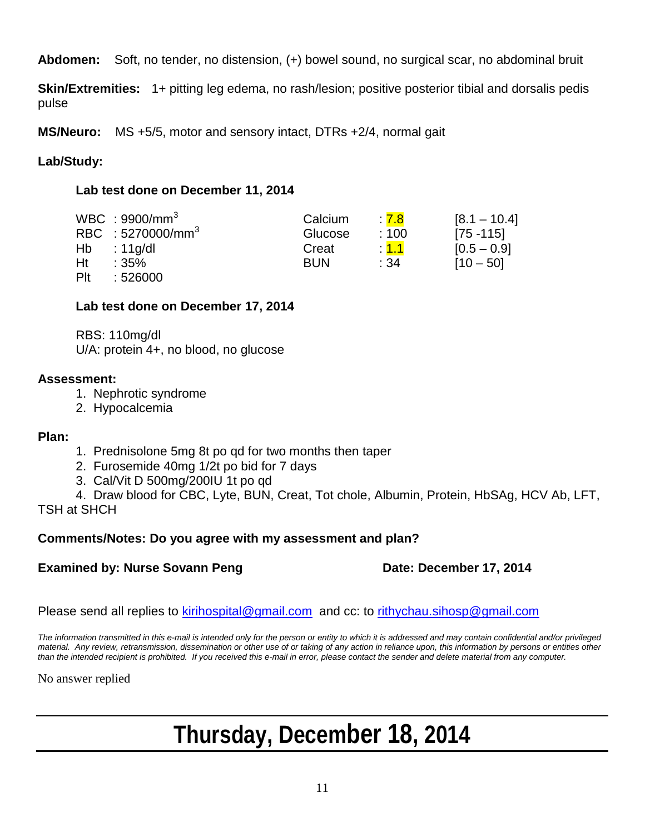**Abdomen:** Soft, no tender, no distension, (+) bowel sound, no surgical scar, no abdominal bruit

**Skin/Extremities:** 1+ pitting leg edema, no rash/lesion; positive posterior tibial and dorsalis pedis pulse

**MS/Neuro:** MS +5/5, motor and sensory intact, DTRs +2/4, normal gait

#### **Lab/Study:**

#### **Lab test done on December 11, 2014**

|     | WBC: $9900/mm3$               | Calcium    | $\therefore$ 7.8 | $[8.1 - 10.4]$ |
|-----|-------------------------------|------------|------------------|----------------|
|     | RBC : 5270000/mm <sup>3</sup> | Glucose    | :100             | $[75 - 115]$   |
| Hb  | : 11g/dl                      | Creat      | $\therefore$ 1.1 | $[0.5 - 0.9]$  |
| Ht  | :35%                          | <b>BUN</b> | :34              | $[10 - 50]$    |
| Plt | :526000                       |            |                  |                |

#### **Lab test done on December 17, 2014**

RBS: 110mg/dl U/A: protein 4+, no blood, no glucose

#### **Assessment:**

- 1. Nephrotic syndrome
- 2. Hypocalcemia

#### **Plan:**

- 1. Prednisolone 5mg 8t po qd for two months then taper
- 2. Furosemide 40mg 1/2t po bid for 7 days
- 3. Cal/Vit D 500mg/200IU 1t po qd

4. Draw blood for CBC, Lyte, BUN, Creat, Tot chole, Albumin, Protein, HbSAg, HCV Ab, LFT, TSH at SHCH

#### **Comments/Notes: Do you agree with my assessment and plan?**

#### **Examined by: Nurse Sovann Peng Date: December 17, 2014**

Please send all replies to [kirihospital@gmail.com](mailto:kirihospital@gmail.com) and cc: to [rithychau.sihosp@gmail.com](mailto:rithychau.sihosp@gmail.com)

*The information transmitted in this e-mail is intended only for the person or entity to which it is addressed and may contain confidential and/or privileged material. Any review, retransmission, dissemination or other use of or taking of any action in reliance upon, this information by persons or entities other than the intended recipient is prohibited. If you received this e-mail in error, please contact the sender and delete material from any computer.*

No answer replied

# **Thursday, December 18, 2014**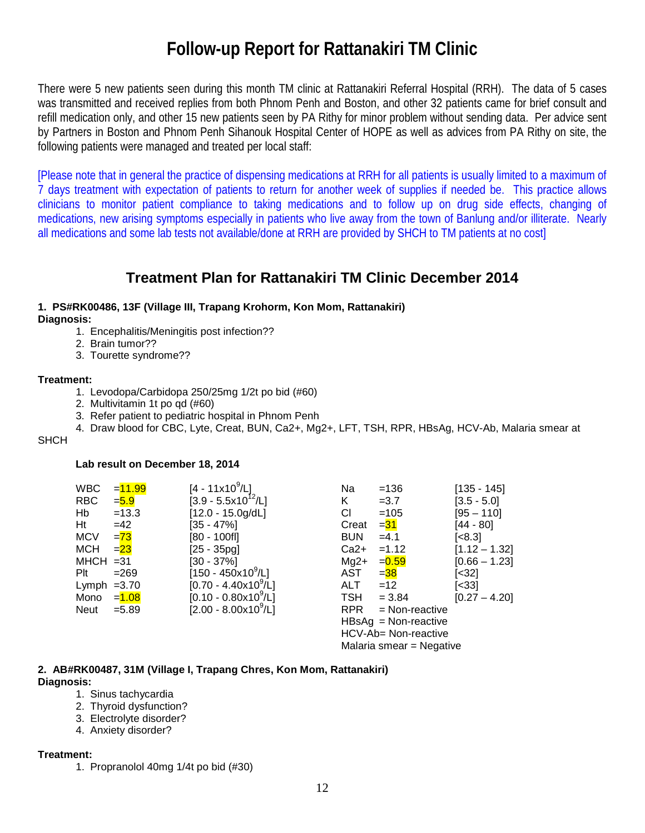# **Follow-up Report for Rattanakiri TM Clinic**

There were 5 new patients seen during this month TM clinic at Rattanakiri Referral Hospital (RRH). The data of 5 cases was transmitted and received replies from both Phnom Penh and Boston, and other 32 patients came for brief consult and refill medication only, and other 15 new patients seen by PA Rithy for minor problem without sending data. Per advice sent by Partners in Boston and Phnom Penh Sihanouk Hospital Center of HOPE as well as advices from PA Rithy on site, the following patients were managed and treated per local staff:

[Please note that in general the practice of dispensing medications at RRH for all patients is usually limited to a maximum of 7 days treatment with expectation of patients to return for another week of supplies if needed be. This practice allows clinicians to monitor patient compliance to taking medications and to follow up on drug side effects, changing of medications, new arising symptoms especially in patients who live away from the town of Banlung and/or illiterate. Nearly all medications and some lab tests not available/done at RRH are provided by SHCH to TM patients at no cost]

### **Treatment Plan for Rattanakiri TM Clinic December 2014**

## **1. PS#RK00486, 13F (Village III, Trapang Krohorm, Kon Mom, Rattanakiri)**

- **Diagnosis:**
	- 1. Encephalitis/Meningitis post infection??
	- 2. Brain tumor??
	- 3. Tourette syndrome??

#### **Treatment:**

- 1. Levodopa/Carbidopa 250/25mg 1/2t po bid (#60)
- 2. Multivitamin 1t po qd (#60)
- 3. Refer patient to pediatric hospital in Phnom Penh
- 4. Draw blood for CBC, Lyte, Creat, BUN, Ca2+, Mg2+, LFT, TSH, RPR, HBsAg, HCV-Ab, Malaria smear at

#### **SHCH**

#### **Lab result on December 18, 2014**

| <b>WBC</b>    | $= 11.99$ | [4 - 11x10 <sup>9</sup> /L]      | Na         | $=136$                   | $[135 - 145]$   |
|---------------|-----------|----------------------------------|------------|--------------------------|-----------------|
| <b>RBC</b>    | $= 5.9$   | $[3.9 - 5.5 \times 10^{12} / L]$ | K.         | $=3.7$                   | $[3.5 - 5.0]$   |
| Hb            | $=13.3$   | $[12.0 - 15.0g/dL]$              | СI         | $=105$                   | $[95 - 110]$    |
| Ht            | $=42$     | [35 - 47%]                       | Creat      | $=$ 31                   | [44 - 80]       |
| <b>MCV</b>    | $= 73$    | [80 - 100fl]                     | <b>BUN</b> | $=4.1$                   | [<8.3]          |
| MCH           | $= 23$    | $[25 - 35pg]$                    | $Ca2+$     | $=1.12$                  | $[1.12 - 1.32]$ |
| $MHCH = 31$   |           | [30 - 37%]                       | $Mg2+$     | $= 0.59$                 | $[0.66 - 1.23]$ |
| Plt           | $= 269$   | $[150 - 450 \times 10^9/L]$      | AST        | $=$ 38                   | [<32]           |
| Lymph $=3.70$ |           | $[0.70 - 4.40x10^9/L]$           | <b>ALT</b> | $=12$                    | [<33]           |
| Mono          | $= 1.08$  | $[0.10 - 0.80 \times 10^9/L]$    | <b>TSH</b> | $= 3.84$                 | $[0.27 - 4.20]$ |
| Neut          | $= 5.89$  | $[2.00 - 8.00x10^9/L]$           | <b>RPR</b> | $=$ Non-reactive         |                 |
|               |           |                                  |            | $HBSAg = Non-reactive$   |                 |
|               |           |                                  |            | HCV-Ab= Non-reactive     |                 |
|               |           |                                  |            | Malaria smear = Negative |                 |

#### **2. AB#RK00487, 31M (Village I, Trapang Chres, Kon Mom, Rattanakiri) Diagnosis:**

- 1. Sinus tachycardia
- 2. Thyroid dysfunction?
- 3. Electrolyte disorder?
- 4. Anxiety disorder?

#### **Treatment:**

1. Propranolol 40mg 1/4t po bid (#30)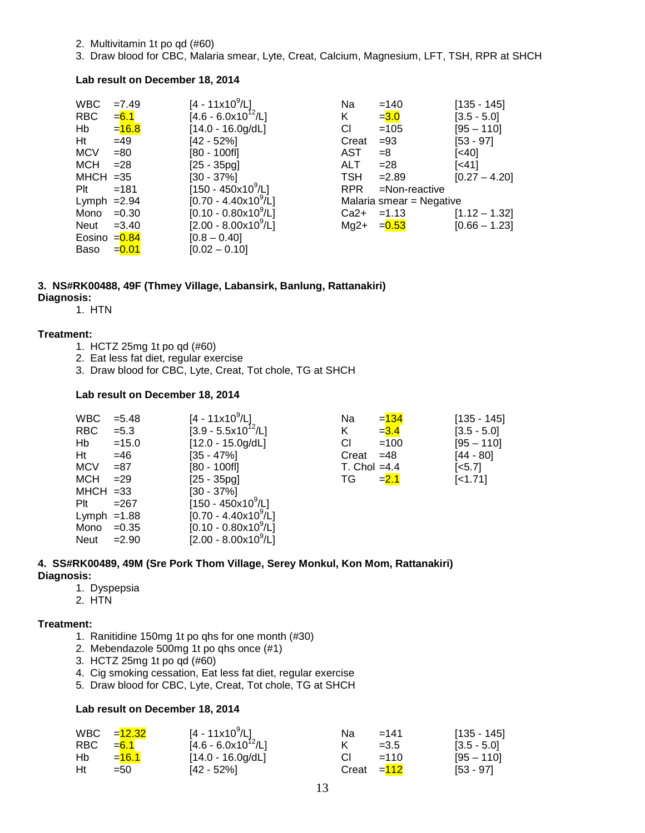- 2. Multivitamin 1t po qd (#60)
- 3. Draw blood for CBC, Malaria smear, Lyte, Creat, Calcium, Magnesium, LFT, TSH, RPR at SHCH

#### **Lab result on December 18, 2014**

| <b>WBC</b>     | $=7.49$  | $[4 - 11 \times 10^9/L]$     | Na         | $=140$                   | $[135 - 145]$   |
|----------------|----------|------------------------------|------------|--------------------------|-----------------|
| <b>RBC</b>     | $= 6.1$  | $[4.6 - 6.0x10^{12}/L]$      | K          | $= 3.0$                  | $[3.5 - 5.0]$   |
| Hb             | $= 16.8$ | $[14.0 - 16.0g/dL]$          | СI         | $=105$                   | [95 – 110]      |
| Ht             | $=49$    | [42 - 52%]                   | Creat      | $= 93$                   | [53 - 97]       |
| <b>MCV</b>     | $=80$    | $[80 - 100f]$                | <b>AST</b> | $=8$                     | [<40]           |
| <b>MCH</b>     | $= 28$   | $[25 - 35pg]$                | <b>ALT</b> | $= 28$                   | [<41]           |
| $MHCH = 35$    |          | $[30 - 37\%]$                | <b>TSH</b> | $=2.89$                  | $[0.27 - 4.20]$ |
| $P$ lt         | $=181$   | $[150 - 450 \times 10^9$ /L] | RPR.       | $=$ Non-reactive         |                 |
| Lymph $=2.94$  |          | $[0.70 - 4.40x10^9/L]$       |            | Malaria smear = Negative |                 |
| Mono           | $=0.30$  | $[0.10 - 0.80x10^{9}/L]$     | $Ca2+$     | $=1.13$                  | $[1.12 - 1.32]$ |
| Neut           | $= 3.40$ | $[2.00 - 8.00x10^9/L]$       | $Mg2+$     | $= 0.53$                 | $[0.66 - 1.23]$ |
| Eosino $=0.84$ |          | $[0.8 - 0.40]$               |            |                          |                 |
| Baso           | $= 0.01$ | $[0.02 - 0.10]$              |            |                          |                 |

#### **3. NS#RK00488, 49F (Thmey Village, Labansirk, Banlung, Rattanakiri) Diagnosis:**

1. HTN

#### **Treatment:**

- 1. HCTZ 25mg 1t po qd (#60)
- 2. Eat less fat diet, regular exercise
- 3. Draw blood for CBC, Lyte, Creat, Tot chole, TG at SHCH

#### **Lab result on December 18, 2014**

| <b>WBC</b>    | $= 5.48$ | $[4 - 11x10^9/L]$                    | Na             | $= 134$ | $[135 - 145]$         |
|---------------|----------|--------------------------------------|----------------|---------|-----------------------|
| <b>RBC</b>    | $= 5.3$  | $[3.9 - 5.5x10^{12}/L]$              | K              | $= 3.4$ | $[3.5 - 5.0]$         |
| Hb            | $=15.0$  | $[12.0 - 15.0g/dL]$                  | СI             | $=100$  | $[95 - 110]$          |
| <b>Ht</b>     | $=46$    | $[35 - 47\%]$                        | Creat          | $=48$   | $[44 - 80]$           |
| <b>MCV</b>    | $= 87$   | $[80 - 100$ fl]                      | T. Chol $=4.4$ |         | $\left[ <5.7 \right]$ |
| MCH           | $=29$    | $[25 - 35pg]$                        | TG.            | $= 2.1$ | $[-1.71]$             |
| $MHCH = 33$   |          | $[30 - 37\%]$                        |                |         |                       |
| $P$ lt        | $= 267$  | $[150 - 450 \times 10^9/\text{L}]$   |                |         |                       |
| Lymph $=1.88$ |          | $[0.70 - 4.40 \times 10^{9}$ /L]     |                |         |                       |
| Mono $=0.35$  |          | $[0.10 - 0.80 \times 10^9/\text{L}]$ |                |         |                       |
| Neut          | $= 2.90$ | $[2.00 - 8.00 \times 10^{9} / L]$    |                |         |                       |

#### **4. SS#RK00489, 49M (Sre Pork Thom Village, Serey Monkul, Kon Mom, Rattanakiri) Diagnosis:**

- 1. Dyspepsia
- 2. HTN

#### **Treatment:**

- 1. Ranitidine 150mg 1t po qhs for one month (#30)
- 2. Mebendazole 500mg 1t po qhs once (#1)
- 3. HCTZ 25mg 1t po qd (#60)
- 4. Cig smoking cessation, Eat less fat diet, regular exercise
- 5. Draw blood for CBC, Lyte, Creat, Tot chole, TG at SHCH

#### **Lab result on December 18, 2014**

|            | WBC = <mark>12.32</mark> | $[4 - 11x10^9/L]$       | Na           | =141   | $[135 - 145]$ |
|------------|--------------------------|-------------------------|--------------|--------|---------------|
| RBC $=6.1$ |                          | $[4.6 - 6.0x10^{12}/L]$ |              | $=3.5$ | $[3.5 - 5.0]$ |
| Hb.        | $=16.1$                  | $[14.0 - 16.0g/dL]$     | СI           | $=110$ | $[95 - 110]$  |
| Ht         | $= 50$                   | [42 - 52%]              | Creat $=112$ |        | $[53 - 97]$   |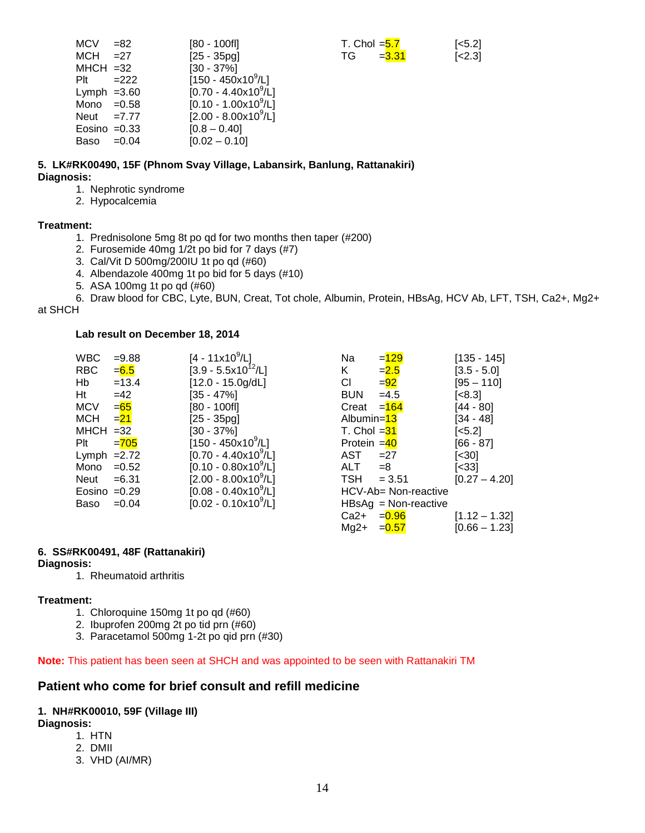| MCV            | $= 82$  | $[80 - 100f]$                        | T. Chol $=$ $5.7$ |          | $[-5.2]$ |
|----------------|---------|--------------------------------------|-------------------|----------|----------|
| MCH            | $=27$   | $[25 - 35pg]$                        | TG.               | $= 3.31$ | [<2.3]   |
| $MHCH = 32$    |         | $[30 - 37\%]$                        |                   |          |          |
| Plt            | $=222$  | $[150 - 450x10^9/L]$                 |                   |          |          |
| Lymph $=3.60$  |         | [0.70 - 4.40x10 <sup>9</sup> /L]     |                   |          |          |
| Mono $=0.58$   |         | $[0.10 - 1.00 \times 10^9/\text{L}]$ |                   |          |          |
| Neut = $7.77$  |         | $[2.00 - 8.00 \times 10^9/\text{L}]$ |                   |          |          |
| Eosino $=0.33$ |         | $[0.8 - 0.40]$                       |                   |          |          |
| Baso           | $=0.04$ | $[0.02 - 0.10]$                      |                   |          |          |
|                |         |                                      |                   |          |          |

#### **5. LK#RK00490, 15F (Phnom Svay Village, Labansirk, Banlung, Rattanakiri) Diagnosis:**

- 1. Nephrotic syndrome
- 2. Hypocalcemia

#### **Treatment:**

- 1. Prednisolone 5mg 8t po qd for two months then taper (#200)
- 2. Furosemide 40mg 1/2t po bid for 7 days (#7)
- 3. Cal/Vit D 500mg/200IU 1t po qd (#60)
- 4. Albendazole 400mg 1t po bid for 5 days (#10)
- 5. ASA 100mg 1t po qd (#60)

6. Draw blood for CBC, Lyte, BUN, Creat, Tot chole, Albumin, Protein, HBsAg, HCV Ab, LFT, TSH, Ca2+, Mg2+

#### at SHCH

#### **Lab result on December 18, 2014**

| $= 9.88$       | $[4 - 11 \times 10^{9} / L]$         | Na                      | $= 129$  | $[135 - 145]$                                                                                                               |
|----------------|--------------------------------------|-------------------------|----------|-----------------------------------------------------------------------------------------------------------------------------|
| =6.5           |                                      | K.                      | $= 2.5$  | $[3.5 - 5.0]$                                                                                                               |
| $=13.4$        | $[12.0 - 15.0g/dL]$                  | CI.                     | $= 92$   | $[95 - 110]$                                                                                                                |
| $=42$          | $[35 - 47\%]$                        | <b>BUN</b>              | $=4.5$   | $\left[ < 8.3 \right]$                                                                                                      |
| $= 65$         | $[80 - 100f]$                        |                         |          | $[44 - 80]$                                                                                                                 |
| $=$ 21         | $[25 - 35pg]$                        |                         |          | $[34 - 48]$                                                                                                                 |
| $MHCH = 32$    | $[30 - 37\%]$                        |                         |          | $\left[ <5.2 \right]$                                                                                                       |
| $= 705$        | $[150 - 450 \times 10^9$ /L]         |                         |          | $[66 - 87]$                                                                                                                 |
| Lymph $=2.72$  | $[0.70 - 4.40x10^9/L]$               | AST                     | $=27$    | $\left[ \text{<}30 \right]$                                                                                                 |
| Mono $=0.52$   | $[0.10 - 0.80 \times 10^9/\text{L}]$ | <b>ALT</b>              | $=8$     | $[<33]$                                                                                                                     |
| =6.31          | $[2.00 - 8.00 \times 10^9/\text{L}]$ | TSH                     | $= 3.51$ | $[0.27 - 4.2]$                                                                                                              |
| Eosino $=0.29$ | $[0.08 - 0.40 \times 10^{9}/L]$      |                         |          |                                                                                                                             |
| $=0.04$        | $[0.02 - 0.10 \times 10^9 / L]$      |                         |          |                                                                                                                             |
|                |                                      | $[3.9 - 5.5x10^{12}/L]$ |          | Creat $=$ 164<br>Albumin=13<br>T. Chol = <mark>31</mark><br>Protein $=40$<br>HCV-Ab= Non-reactive<br>$HBSAg = Non-reactive$ |

|                            | Na            | $= 129$                | $[135 - 145]$                   |
|----------------------------|---------------|------------------------|---------------------------------|
| /L]<br>0 <sup>12</sup> /L] | K             | $= 2.5$                | $[3.5 - 5.0]$                   |
| )g/dL]                     | СI            | $=\frac{92}{3}$        | $[95 - 110]$                    |
|                            | <b>BUN</b>    | $=4.5$                 | [<8.3]                          |
|                            | Creat $= 164$ |                        | $[44 - 80]$                     |
|                            | Albumin=13    |                        | [34 - 48]                       |
|                            | T. Chol $=31$ |                        | $[<5.2]$                        |
| :10 <sup>9</sup> /L]       | Protein = 40  |                        | $[66 - 87]$                     |
| )x10 <sup>9</sup> /L]      | AST           | $=27$                  | $\left[ < \frac{30}{2} \right]$ |
| )x10 <sup>9</sup> /L]      | $ALT = 8$     |                        | $[<33]$                         |
| )x10 <sup>9</sup> /L]      | $TSH = 3.51$  |                        | $[0.27 - 4.20]$                 |
| )x10 <sup>9</sup> /L]      |               | HCV-Ab= Non-reactive   |                                 |
| )x10 <sup>9</sup> /L]      |               | $HBSAg = Non-reactive$ |                                 |
|                            | Ca2+          | $= 0.96$               | $[1.12 - 1.32]$                 |
|                            | Mg2+          | $= 0.57$               | $[0.66 - 1.23]$                 |
|                            |               |                        |                                 |

#### **6. SS#RK00491, 48F (Rattanakiri)**

#### **Diagnosis:**

1. Rheumatoid arthritis

#### **Treatment:**

- 1. Chloroquine 150mg 1t po qd (#60)
- 2. Ibuprofen 200mg 2t po tid prn (#60)
- 3. Paracetamol 500mg 1-2t po qid prn (#30)

#### **Note:** This patient has been seen at SHCH and was appointed to be seen with Rattanakiri TM

#### **Patient who come for brief consult and refill medicine**

#### **1. NH#RK00010, 59F (Village III)**

#### **Diagnosis:**

- 1. HTN
- 2. DMII
- 3. VHD (AI/MR)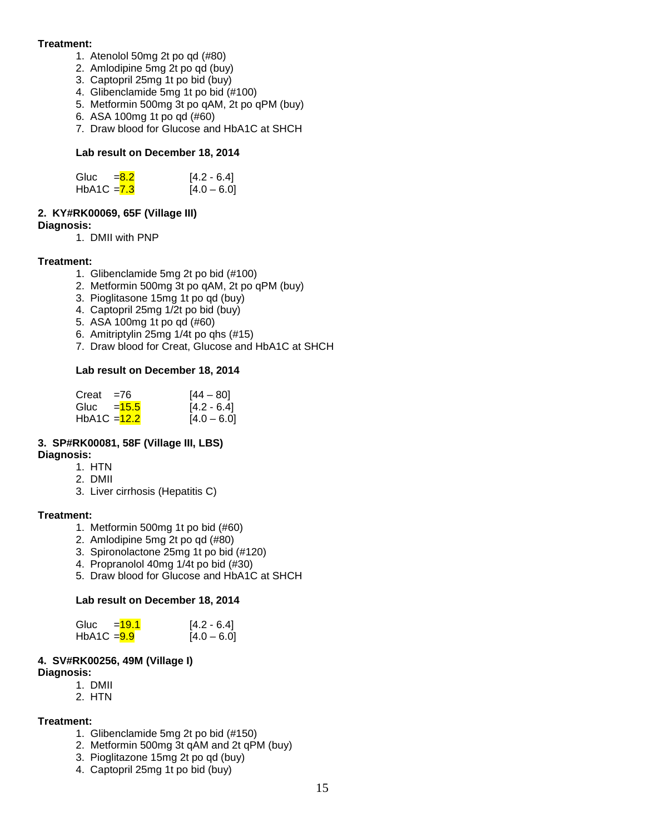#### **Treatment:**

- 1. Atenolol 50mg 2t po qd (#80)
- 2. Amlodipine 5mg 2t po qd (buy)
- 3. Captopril 25mg 1t po bid (buy)
- 4. Glibenclamide 5mg 1t po bid (#100)
- 5. Metformin 500mg 3t po qAM, 2t po qPM (buy)
- 6. ASA 100mg 1t po qd (#60)
- 7. Draw blood for Glucose and HbA1C at SHCH

#### **Lab result on December 18, 2014**

| Gluc          | $= 8.2$ | $[4.2 - 6.4]$ |
|---------------|---------|---------------|
| HbA1C $= 7.3$ |         | $[4.0 - 6.0]$ |

#### **2. KY#RK00069, 65F (Village III)**

**Diagnosis:** 

1. DMII with PNP

#### **Treatment:**

- 1. Glibenclamide 5mg 2t po bid (#100)
- 2. Metformin 500mg 3t po qAM, 2t po qPM (buy)
- 3. Pioglitasone 15mg 1t po qd (buy)
- 4. Captopril 25mg 1/2t po bid (buy)
- 5. ASA 100mg 1t po qd (#60)
- 6. Amitriptylin 25mg 1/4t po qhs (#15)
- 7. Draw blood for Creat, Glucose and HbA1C at SHCH

#### **Lab result on December 18, 2014**

| Creat                     | $= 76$ | $[44 - 80]$   |
|---------------------------|--------|---------------|
| Gluc $=$ $\frac{15.5}{5}$ |        | $[4.2 - 6.4]$ |
| $HbA1C = 12.2$            |        | $[4.0 - 6.0]$ |

#### **3. SP#RK00081, 58F (Village III, LBS) Diagnosis:**

- 1. HTN
- 2. DMII
- 3. Liver cirrhosis (Hepatitis C)

#### **Treatment:**

- 1. Metformin 500mg 1t po bid (#60)
- 2. Amlodipine 5mg 2t po qd (#80)
- 3. Spironolactone 25mg 1t po bid (#120)
- 4. Propranolol 40mg 1/4t po bid (#30)
- 5. Draw blood for Glucose and HbA1C at SHCH

#### **Lab result on December 18, 2014**

| Gluc          | $=19.1$ | $[4.2 - 6.4]$ |
|---------------|---------|---------------|
| $HbA1C = 9.9$ |         | $[4.0 - 6.0]$ |

#### **4. SV#RK00256, 49M (Village I)**

- **Diagnosis:** 
	- 1. DMII
	- 2. HTN

#### **Treatment:**

- 1. Glibenclamide 5mg 2t po bid (#150)
- 2. Metformin 500mg 3t qAM and 2t qPM (buy)
- 3. Pioglitazone 15mg 2t po qd (buy)
- 4. Captopril 25mg 1t po bid (buy)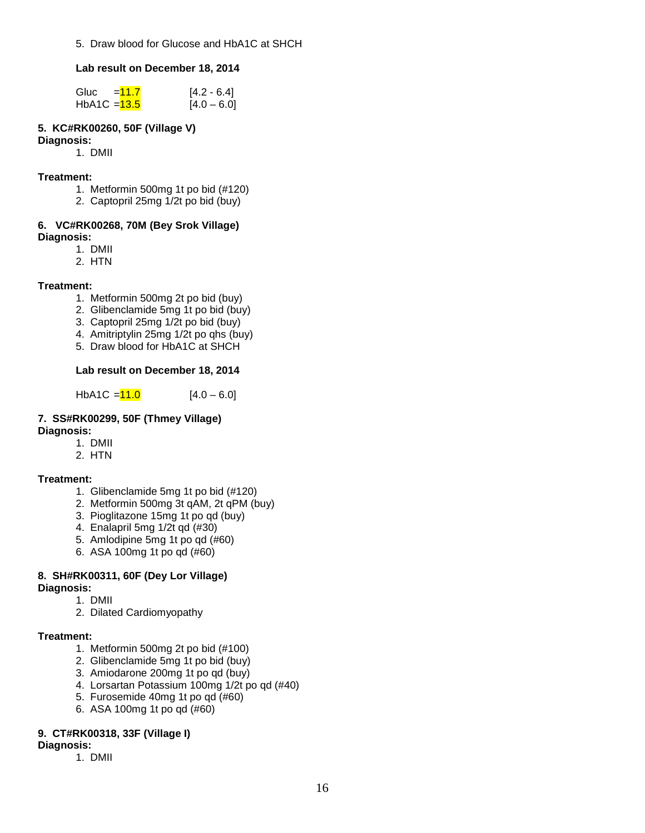5. Draw blood for Glucose and HbA1C at SHCH

#### **Lab result on December 18, 2014**

| Gluc           | $=11.7$ | $[4.2 - 6.4]$ |
|----------------|---------|---------------|
| $HbA1C = 13.5$ |         | $[4.0 - 6.0]$ |

#### **5. KC#RK00260, 50F (Village V)**

#### **Diagnosis:**

1. DMII

#### **Treatment:**

- 1. Metformin 500mg 1t po bid (#120)
- 2. Captopril 25mg 1/2t po bid (buy)

#### **6. VC#RK00268, 70M (Bey Srok Village) Diagnosis:**

- 1. DMII
- 2. HTN

#### **Treatment:**

- 1. Metformin 500mg 2t po bid (buy)
- 2. Glibenclamide 5mg 1t po bid (buy)
- 3. Captopril 25mg 1/2t po bid (buy)
- 4. Amitriptylin 25mg 1/2t po qhs (buy)
- 5. Draw blood for HbA1C at SHCH

#### **Lab result on December 18, 2014**

HbA1C =  $11.0$  [4.0 – 6.0]

#### **7. SS#RK00299, 50F (Thmey Village) Diagnosis:**

- 1. DMII
- 2. HTN

#### **Treatment:**

- 1. Glibenclamide 5mg 1t po bid (#120)
- 2. Metformin 500mg 3t qAM, 2t qPM (buy)
- 3. Pioglitazone 15mg 1t po qd (buy)
- 4. Enalapril 5mg 1/2t qd (#30)
- 5. Amlodipine 5mg 1t po qd (#60)
- 6. ASA 100mg 1t po qd (#60)

#### **8. SH#RK00311, 60F (Dey Lor Village)**

- **Diagnosis:**
	- 1. DMII
	- 2. Dilated Cardiomyopathy

#### **Treatment:**

- 1. Metformin 500mg 2t po bid (#100)
- 2. Glibenclamide 5mg 1t po bid (buy)
- 3. Amiodarone 200mg 1t po qd (buy)
- 4. Lorsartan Potassium 100mg 1/2t po qd (#40)
- 5. Furosemide 40mg 1t po qd (#60)
- 6. ASA 100mg 1t po qd (#60)

#### **9. CT#RK00318, 33F (Village I)**

- **Diagnosis:** 
	- 1. DMII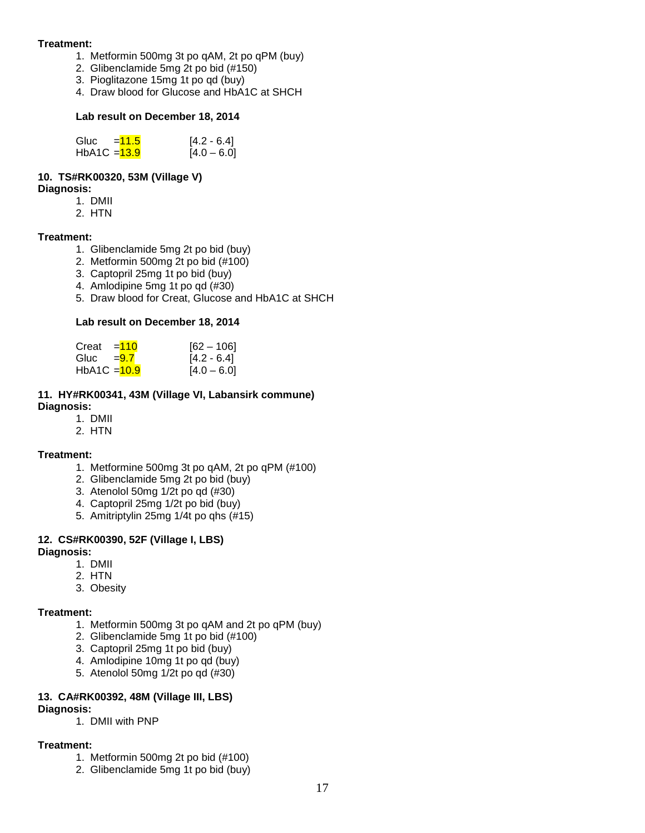#### **Treatment:**

- 1. Metformin 500mg 3t po qAM, 2t po qPM (buy)
- 2. Glibenclamide 5mg 2t po bid (#150)
- 3. Pioglitazone 15mg 1t po qd (buy)
- 4. Draw blood for Glucose and HbA1C at SHCH

#### **Lab result on December 18, 2014**

| Gluc                      | $= 11.5$ | $[4.2 - 6.4]$ |
|---------------------------|----------|---------------|
| HbA1C = <mark>13.9</mark> |          | $[4.0 - 6.0]$ |

#### **10. TS#RK00320, 53M (Village V)**

**Diagnosis:** 

- 1. DMII
- 2. HTN

#### **Treatment:**

- 1. Glibenclamide 5mg 2t po bid (buy)
- 2. Metformin 500mg 2t po bid (#100)
- 3. Captopril 25mg 1t po bid (buy)
- 4. Amlodipine 5mg 1t po qd (#30)
- 5. Draw blood for Creat, Glucose and HbA1C at SHCH

#### **Lab result on December 18, 2014**

| Creat          | $= 110$ | $[62 - 106]$  |
|----------------|---------|---------------|
| Gluc = $9.7$   |         | $[4.2 - 6.4]$ |
| HbA1C $=$ 10.9 |         | $[4.0 - 6.0]$ |

#### **11. HY#RK00341, 43M (Village VI, Labansirk commune) Diagnosis:**

- 1. DMII
- 2. HTN

#### **Treatment:**

- 1. Metformine 500mg 3t po qAM, 2t po qPM (#100)
- 2. Glibenclamide 5mg 2t po bid (buy)
- 3. Atenolol 50mg 1/2t po qd (#30)
- 4. Captopril 25mg 1/2t po bid (buy)
- 5. Amitriptylin 25mg 1/4t po qhs (#15)

#### **12. CS#RK00390, 52F (Village I, LBS)**

#### **Diagnosis:**

- 1. DMII
- 2. HTN
- 3. Obesity

#### **Treatment:**

- 1. Metformin 500mg 3t po qAM and 2t po qPM (buy)
- 2. Glibenclamide 5mg 1t po bid (#100)
- 3. Captopril 25mg 1t po bid (buy)
- 4. Amlodipine 10mg 1t po qd (buy)
- 5. Atenolol 50mg 1/2t po qd (#30)

#### **13. CA#RK00392, 48M (Village III, LBS)**

#### **Diagnosis:**

1. DMII with PNP

#### **Treatment:**

- 1. Metformin 500mg 2t po bid (#100)
- 2. Glibenclamide 5mg 1t po bid (buy)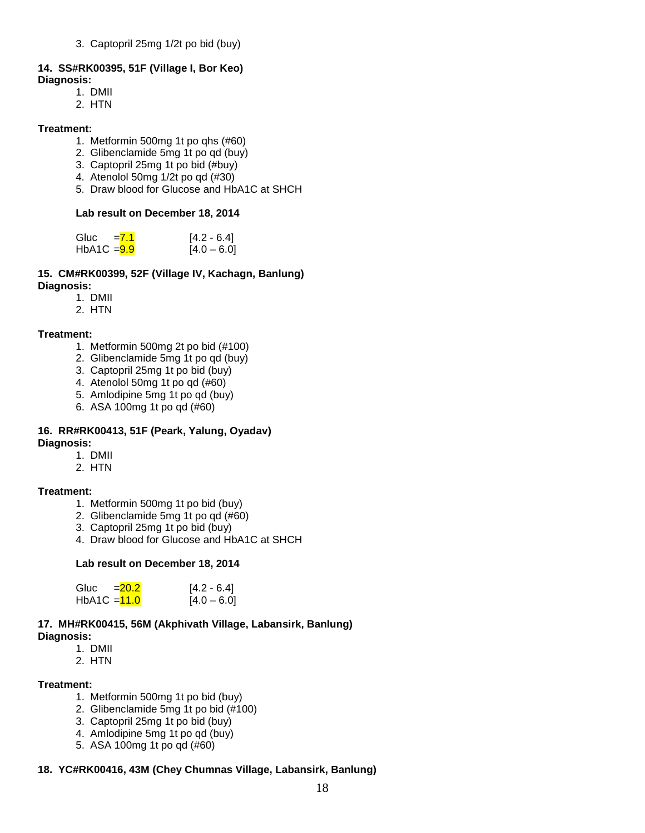3. Captopril 25mg 1/2t po bid (buy)

### **14. SS#RK00395, 51F (Village I, Bor Keo)**

- **Diagnosis:**
	- 1. DMII
	- 2. HTN

#### **Treatment:**

- 1. Metformin 500mg 1t po qhs (#60)
- 2. Glibenclamide 5mg 1t po qd (buy)
- 3. Captopril 25mg 1t po bid (#buy)
- 4. Atenolol 50mg 1/2t po qd (#30)
- 5. Draw blood for Glucose and HbA1C at SHCH

#### **Lab result on December 18, 2014**

| Gluc          | $= 7.1$ | $[4.2 - 6.4]$ |
|---------------|---------|---------------|
| $HbA1C = 9.9$ |         | $[4.0 - 6.0]$ |

#### **15. CM#RK00399, 52F (Village IV, Kachagn, Banlung) Diagnosis:**

- 1. DMII
- 2. HTN

#### **Treatment:**

- 1. Metformin 500mg 2t po bid (#100)
- 2. Glibenclamide 5mg 1t po qd (buy)
- 3. Captopril 25mg 1t po bid (buy)
- 4. Atenolol 50mg 1t po qd (#60)
- 5. Amlodipine 5mg 1t po qd (buy)
- 6. ASA 100mg 1t po qd (#60)

#### **16. RR#RK00413, 51F (Peark, Yalung, Oyadav) Diagnosis:**

- 1. DMII
- 2. HTN

#### **Treatment:**

- 1. Metformin 500mg 1t po bid (buy)
- 2. Glibenclamide 5mg 1t po qd (#60)
- 3. Captopril 25mg 1t po bid (buy)
- 4. Draw blood for Glucose and HbA1C at SHCH

#### **Lab result on December 18, 2014**

| Gluc           | $= 20.2$ | $[4.2 - 6.4]$ |
|----------------|----------|---------------|
| HbA1C $=$ 11.0 |          | $[4.0 - 6.0]$ |

#### **17. MH#RK00415, 56M (Akphivath Village, Labansirk, Banlung) Diagnosis:**

1. DMII

2. HTN

#### **Treatment:**

- 1. Metformin 500mg 1t po bid (buy)
- 2. Glibenclamide 5mg 1t po bid (#100)
- 3. Captopril 25mg 1t po bid (buy)
- 4. Amlodipine 5mg 1t po qd (buy)
- 5. ASA 100mg 1t po qd (#60)

#### **18. YC#RK00416, 43M (Chey Chumnas Village, Labansirk, Banlung)**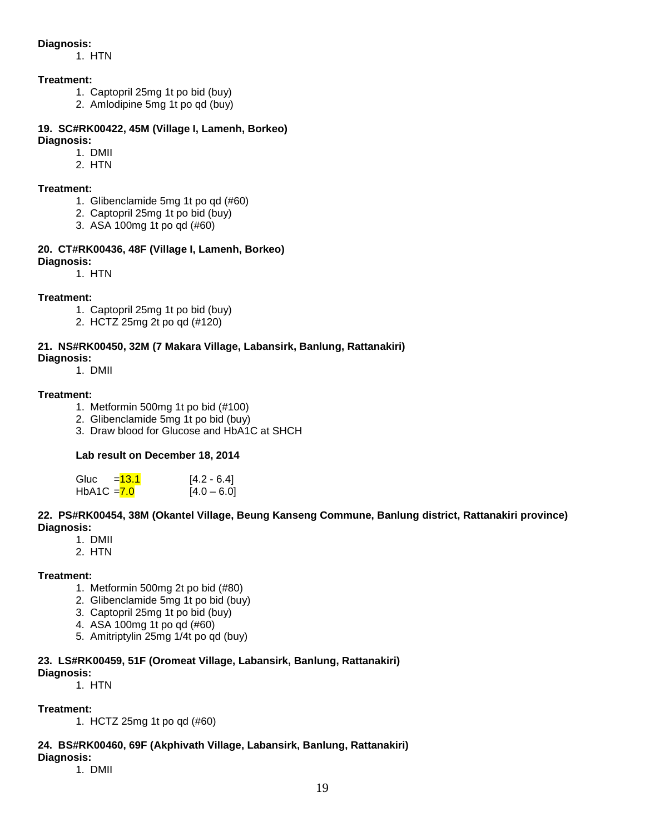#### **Diagnosis:**

1. HTN

#### **Treatment:**

- 1. Captopril 25mg 1t po bid (buy)
- 2. Amlodipine 5mg 1t po qd (buy)

#### **19. SC#RK00422, 45M (Village I, Lamenh, Borkeo) Diagnosis:**

#### 1. DMII

2. HTN

#### **Treatment:**

- 1. Glibenclamide 5mg 1t po qd (#60)
- 2. Captopril 25mg 1t po bid (buy)
- 3. ASA 100mg 1t po qd (#60)

#### **20. CT#RK00436, 48F (Village I, Lamenh, Borkeo) Diagnosis:**

1. HTN

#### **Treatment:**

- 1. Captopril 25mg 1t po bid (buy)
- 2. HCTZ 25mg 2t po qd (#120)

#### **21. NS#RK00450, 32M (7 Makara Village, Labansirk, Banlung, Rattanakiri)**

#### **Diagnosis:**

1. DMII

#### **Treatment:**

- 1. Metformin 500mg 1t po bid (#100)
- 2. Glibenclamide 5mg 1t po bid (buy)
- 3. Draw blood for Glucose and HbA1C at SHCH

#### **Lab result on December 18, 2014**

| Gluc          | = <mark>13.1</mark> | $[4.2 - 6.4]$ |
|---------------|---------------------|---------------|
| $HbA1C = 7.0$ |                     | $[4.0 - 6.0]$ |

#### **22. PS#RK00454, 38M (Okantel Village, Beung Kanseng Commune, Banlung district, Rattanakiri province) Diagnosis:**

- 1. DMII
- 2. HTN

#### **Treatment:**

- 1. Metformin 500mg 2t po bid (#80)
- 2. Glibenclamide 5mg 1t po bid (buy)
- 3. Captopril 25mg 1t po bid (buy)
- 4. ASA 100mg 1t po qd (#60)
- 5. Amitriptylin 25mg 1/4t po qd (buy)

#### **23. LS#RK00459, 51F (Oromeat Village, Labansirk, Banlung, Rattanakiri)**

#### **Diagnosis:**

1. HTN

#### **Treatment:**

1. HCTZ 25mg 1t po qd (#60)

#### **24. BS#RK00460, 69F (Akphivath Village, Labansirk, Banlung, Rattanakiri)**

#### **Diagnosis:**

1. DMII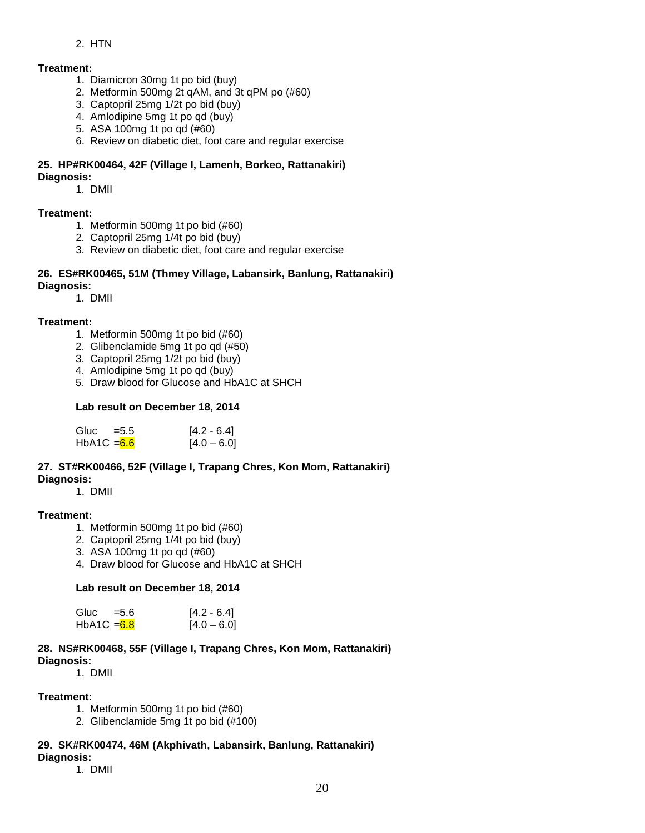#### 2. HTN

#### **Treatment:**

- 1. Diamicron 30mg 1t po bid (buy)
- 2. Metformin 500mg 2t qAM, and 3t qPM po (#60)
- 3. Captopril 25mg 1/2t po bid (buy)
- 4. Amlodipine 5mg 1t po qd (buy)
- 5. ASA 100mg 1t po qd (#60)
- 6. Review on diabetic diet, foot care and regular exercise

#### **25. HP#RK00464, 42F (Village I, Lamenh, Borkeo, Rattanakiri) Diagnosis:**

1. DMII

#### **Treatment:**

- 1. Metformin 500mg 1t po bid (#60)
- 2. Captopril 25mg 1/4t po bid (buy)
- 3. Review on diabetic diet, foot care and regular exercise

#### **26. ES#RK00465, 51M (Thmey Village, Labansirk, Banlung, Rattanakiri) Diagnosis:**

#### 1. DMII

#### **Treatment:**

- 1. Metformin 500mg 1t po bid (#60)
- 2. Glibenclamide 5mg 1t po qd (#50)
- 3. Captopril 25mg 1/2t po bid (buy)
- 4. Amlodipine 5mg 1t po qd (buy)
- 5. Draw blood for Glucose and HbA1C at SHCH

#### **Lab result on December 18, 2014**

| Gluc          | $= 5.5$ | $[4.2 - 6.4]$ |
|---------------|---------|---------------|
| $HbA1C = 6.6$ |         | $[4.0 - 6.0]$ |

#### **27. ST#RK00466, 52F (Village I, Trapang Chres, Kon Mom, Rattanakiri) Diagnosis:**

1. DMII

#### **Treatment:**

- 1. Metformin 500mg 1t po bid (#60)
- 2. Captopril 25mg 1/4t po bid (buy)
- 3. ASA 100mg 1t po qd (#60)
- 4. Draw blood for Glucose and HbA1C at SHCH

#### **Lab result on December 18, 2014**

| Gluc          | $= 5.6$ | $[4.2 - 6.4]$ |
|---------------|---------|---------------|
| $HbA1C = 6.8$ |         | $[4.0 - 6.0]$ |

#### **28. NS#RK00468, 55F (Village I, Trapang Chres, Kon Mom, Rattanakiri) Diagnosis:**

1. DMII

#### **Treatment:**

- 1. Metformin 500mg 1t po bid (#60)
- 2. Glibenclamide 5mg 1t po bid (#100)

#### **29. SK#RK00474, 46M (Akphivath, Labansirk, Banlung, Rattanakiri)**

#### **Diagnosis:**

1. DMII